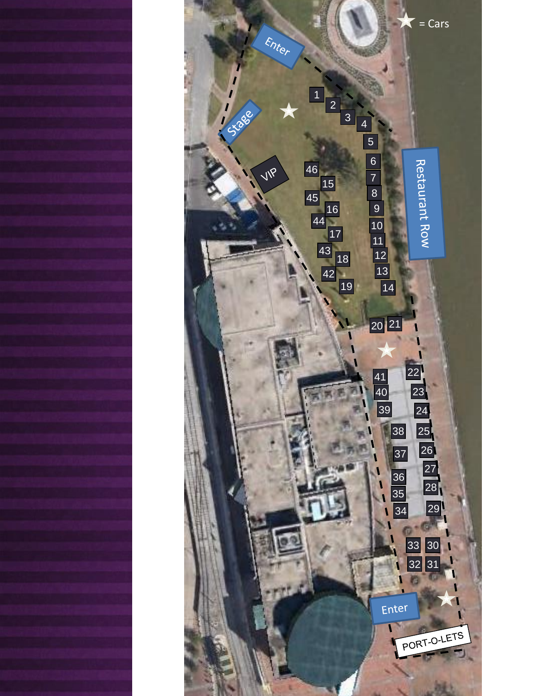